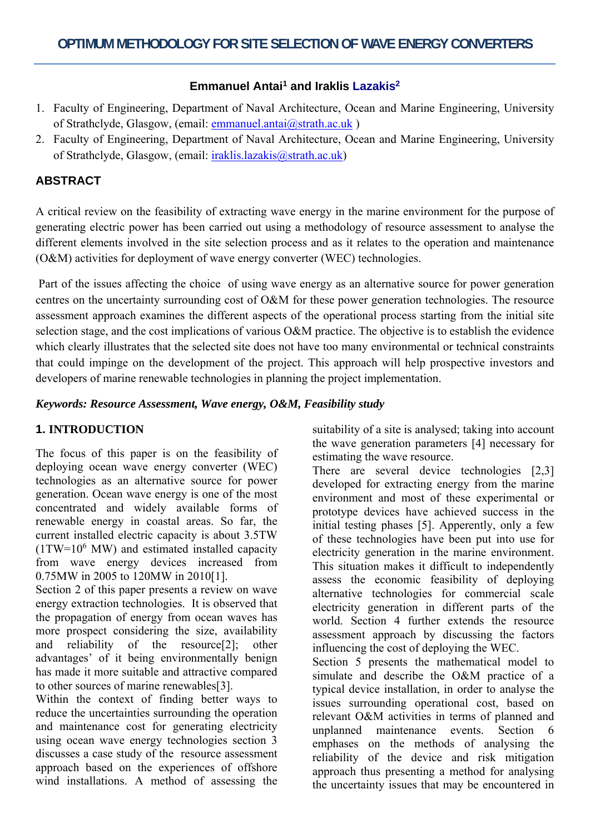# **Emmanuel Antai<sup>1</sup> and Iraklis Lazakis<sup>2</sup>**

- 1. Faculty of Engineering, Department of Naval Architecture, Ocean and Marine Engineering, University of Strathclyde, Glasgow, (email: emmanuel.antai@strath.ac.uk)
- 2. Faculty of Engineering, Department of Naval Architecture, Ocean and Marine Engineering, University of Strathclyde, Glasgow, (email: iraklis.lazakis@strath.ac.uk)

# **ABSTRACT**

A critical review on the feasibility of extracting wave energy in the marine environment for the purpose of generating electric power has been carried out using a methodology of resource assessment to analyse the different elements involved in the site selection process and as it relates to the operation and maintenance (O&M) activities for deployment of wave energy converter (WEC) technologies.

 Part of the issues affecting the choice of using wave energy as an alternative source for power generation centres on the uncertainty surrounding cost of O&M for these power generation technologies. The resource assessment approach examines the different aspects of the operational process starting from the initial site selection stage, and the cost implications of various O&M practice. The objective is to establish the evidence which clearly illustrates that the selected site does not have too many environmental or technical constraints that could impinge on the development of the project. This approach will help prospective investors and developers of marine renewable technologies in planning the project implementation.

*Keywords: Resource Assessment, Wave energy, O&M, Feasibility study* 

## **1. INTRODUCTION**

The focus of this paper is on the feasibility of deploying ocean wave energy converter (WEC) technologies as an alternative source for power generation. Ocean wave energy is one of the most concentrated and widely available forms of renewable energy in coastal areas. So far, the current installed electric capacity is about 3.5TW  $(1TW=10^6$  MW) and estimated installed capacity from wave energy devices increased from 0.75MW in 2005 to 120MW in 2010[1].

Section 2 of this paper presents a review on wave energy extraction technologies. It is observed that the propagation of energy from ocean waves has more prospect considering the size, availability and reliability of the resource[2]; other advantages' of it being environmentally benign has made it more suitable and attractive compared to other sources of marine renewables[3].

Within the context of finding better ways to reduce the uncertainties surrounding the operation and maintenance cost for generating electricity using ocean wave energy technologies section 3 discusses a case study of the resource assessment approach based on the experiences of offshore wind installations. A method of assessing the suitability of a site is analysed; taking into account the wave generation parameters [4] necessary for estimating the wave resource.

There are several device technologies [2,3] developed for extracting energy from the marine environment and most of these experimental or prototype devices have achieved success in the initial testing phases [5]. Apperently, only a few of these technologies have been put into use for electricity generation in the marine environment. This situation makes it difficult to independently assess the economic feasibility of deploying alternative technologies for commercial scale electricity generation in different parts of the world. Section 4 further extends the resource assessment approach by discussing the factors influencing the cost of deploying the WEC.

Section 5 presents the mathematical model to simulate and describe the O&M practice of a typical device installation, in order to analyse the issues surrounding operational cost, based on relevant O&M activities in terms of planned and unplanned maintenance events. Section 6 emphases on the methods of analysing the reliability of the device and risk mitigation approach thus presenting a method for analysing the uncertainty issues that may be encountered in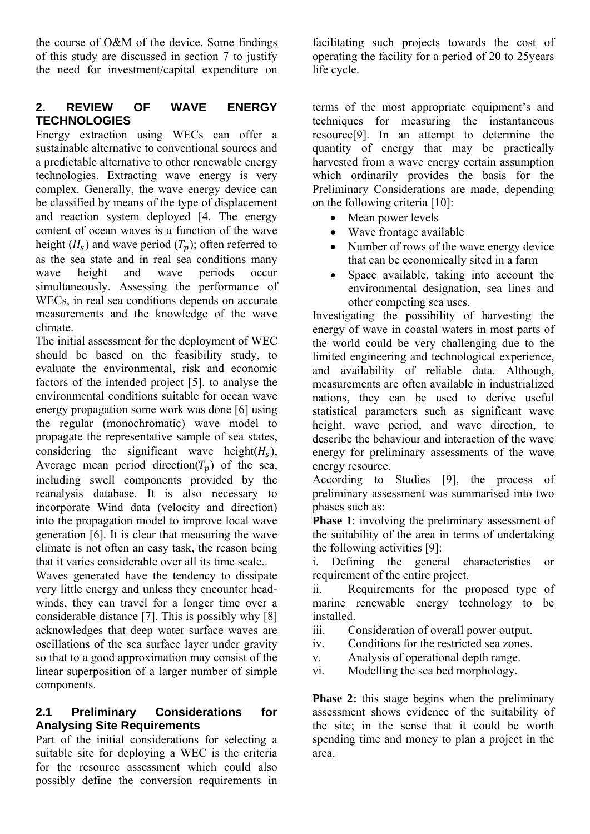the course of O&M of the device. Some findings of this study are discussed in section 7 to justify the need for investment/capital expenditure on

# **2. REVIEW OF WAVE ENERGY TECHNOLOGIES**

Energy extraction using WECs can offer a sustainable alternative to conventional sources and a predictable alternative to other renewable energy technologies. Extracting wave energy is very complex. Generally, the wave energy device can be classified by means of the type of displacement and reaction system deployed [4. The energy content of ocean waves is a function of the wave height  $(H_s)$  and wave period  $(T_n)$ ; often referred to as the sea state and in real sea conditions many wave height and wave periods occur simultaneously. Assessing the performance of WECs, in real sea conditions depends on accurate measurements and the knowledge of the wave climate.

The initial assessment for the deployment of WEC should be based on the feasibility study, to evaluate the environmental, risk and economic factors of the intended project [5]. to analyse the environmental conditions suitable for ocean wave energy propagation some work was done [6] using the regular (monochromatic) wave model to propagate the representative sample of sea states, considering the significant wave height $(H_s)$ , Average mean period direction( $T_n$ ) of the sea, including swell components provided by the reanalysis database. It is also necessary to incorporate Wind data (velocity and direction) into the propagation model to improve local wave generation [6]. It is clear that measuring the wave climate is not often an easy task, the reason being that it varies considerable over all its time scale..

Waves generated have the tendency to dissipate very little energy and unless they encounter headwinds, they can travel for a longer time over a considerable distance [7]. This is possibly why [8] acknowledges that deep water surface waves are oscillations of the sea surface layer under gravity so that to a good approximation may consist of the linear superposition of a larger number of simple components.

#### **2.1 Preliminary Considerations for Analysing Site Requirements**

Part of the initial considerations for selecting a suitable site for deploying a WEC is the criteria for the resource assessment which could also possibly define the conversion requirements in

facilitating such projects towards the cost of operating the facility for a period of 20 to 25years life cycle.

terms of the most appropriate equipment's and techniques for measuring the instantaneous resource[9]. In an attempt to determine the quantity of energy that may be practically harvested from a wave energy certain assumption which ordinarily provides the basis for the Preliminary Considerations are made, depending on the following criteria [10]:

- Mean power levels
- Wave frontage available
- Number of rows of the wave energy device that can be economically sited in a farm
- Space available, taking into account the environmental designation, sea lines and other competing sea uses.

Investigating the possibility of harvesting the energy of wave in coastal waters in most parts of the world could be very challenging due to the limited engineering and technological experience, and availability of reliable data. Although, measurements are often available in industrialized nations, they can be used to derive useful statistical parameters such as significant wave height, wave period, and wave direction, to describe the behaviour and interaction of the wave energy for preliminary assessments of the wave energy resource.

According to Studies [9], the process of preliminary assessment was summarised into two phases such as:

**Phase 1**: involving the preliminary assessment of the suitability of the area in terms of undertaking the following activities [9]:

i. Defining the general characteristics or requirement of the entire project.

ii. Requirements for the proposed type of marine renewable energy technology to be installed.

- iii. Consideration of overall power output.
- iv. Conditions for the restricted sea zones.
- v. Analysis of operational depth range.
- vi. Modelling the sea bed morphology.

**Phase 2:** this stage begins when the preliminary assessment shows evidence of the suitability of the site; in the sense that it could be worth spending time and money to plan a project in the area.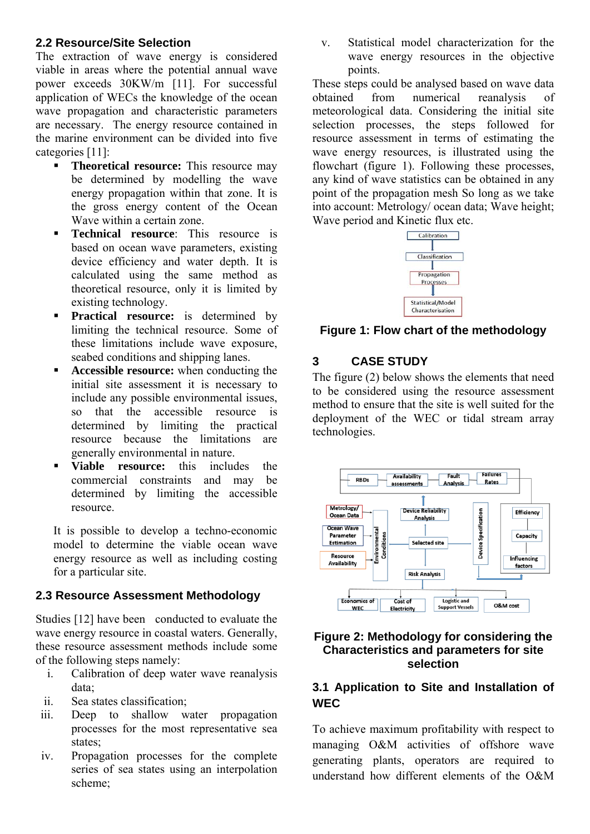#### **2.2 Resource/Site Selection**

The extraction of wave energy is considered viable in areas where the potential annual wave power exceeds 30KW/m [11]. For successful application of WECs the knowledge of the ocean wave propagation and characteristic parameters are necessary. The energy resource contained in the marine environment can be divided into five categories [11]:

- **Theoretical resource:** This resource may be determined by modelling the wave energy propagation within that zone. It is the gross energy content of the Ocean Wave within a certain zone.
- **Technical resource**: This resource is based on ocean wave parameters, existing device efficiency and water depth. It is calculated using the same method as theoretical resource, only it is limited by existing technology.
- **Practical resource:** is determined by limiting the technical resource. Some of these limitations include wave exposure, seabed conditions and shipping lanes.
- **Accessible resource:** when conducting the initial site assessment it is necessary to include any possible environmental issues, so that the accessible resource is determined by limiting the practical resource because the limitations are generally environmental in nature.
- **Viable resource:** this includes the commercial constraints and may be determined by limiting the accessible resource.

It is possible to develop a techno-economic model to determine the viable ocean wave energy resource as well as including costing for a particular site.

# **2.3 Resource Assessment Methodology**

Studies [12] have been conducted to evaluate the wave energy resource in coastal waters. Generally, these resource assessment methods include some of the following steps namely:

- i. Calibration of deep water wave reanalysis data;
- ii. Sea states classification;
- iii. Deep to shallow water propagation processes for the most representative sea states;
- iv. Propagation processes for the complete series of sea states using an interpolation scheme;

v. Statistical model characterization for the wave energy resources in the objective points.

These steps could be analysed based on wave data obtained from numerical reanalysis of meteorological data. Considering the initial site selection processes, the steps followed for resource assessment in terms of estimating the wave energy resources, is illustrated using the flowchart (figure 1). Following these processes, any kind of wave statistics can be obtained in any point of the propagation mesh So long as we take into account: Metrology/ ocean data; Wave height; Wave period and Kinetic flux etc.



**Figure 1: Flow chart of the methodology** 

# **3 CASE STUDY**

The figure (2) below shows the elements that need to be considered using the resource assessment method to ensure that the site is well suited for the deployment of the WEC or tidal stream array technologies.



#### **Figure 2: Methodology for considering the Characteristics and parameters for site selection**

# **3.1 Application to Site and Installation of WEC**

To achieve maximum profitability with respect to managing O&M activities of offshore wave generating plants, operators are required to understand how different elements of the O&M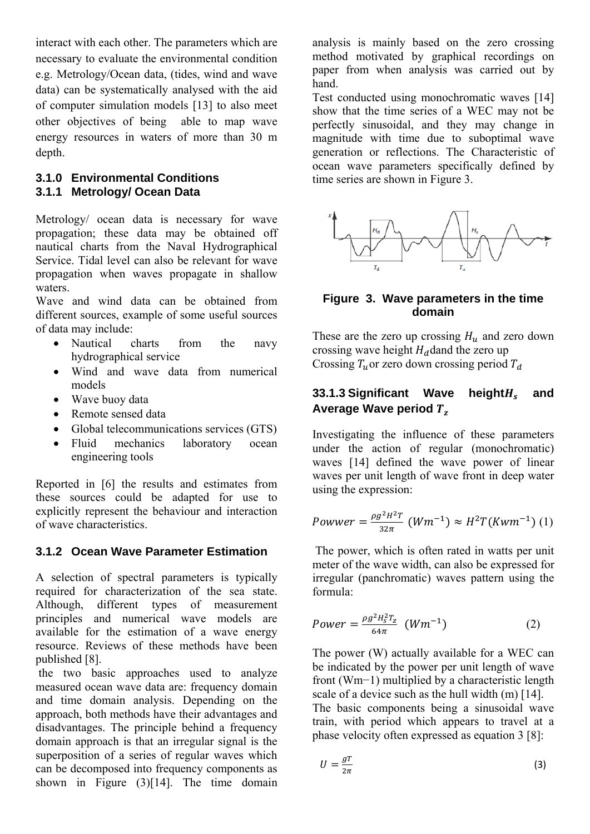interact with each other. The parameters which are necessary to evaluate the environmental condition e.g. Metrology/Ocean data, (tides, wind and wave data) can be systematically analysed with the aid of computer simulation models [13] to also meet other objectives of being able to map wave energy resources in waters of more than 30 m depth.

#### **3.1.0 Environmental Conditions 3.1.1 Metrology/ Ocean Data**

Metrology/ ocean data is necessary for wave propagation; these data may be obtained off nautical charts from the Naval Hydrographical Service. Tidal level can also be relevant for wave propagation when waves propagate in shallow waters.

Wave and wind data can be obtained from different sources, example of some useful sources of data may include:

- Nautical charts from the navy hydrographical service
- Wind and wave data from numerical models
- Wave buoy data
- Remote sensed data
- Global telecommunications services (GTS)
- Fluid mechanics laboratory ocean engineering tools

Reported in [6] the results and estimates from these sources could be adapted for use to explicitly represent the behaviour and interaction of wave characteristics.

## **3.1.2 Ocean Wave Parameter Estimation**

A selection of spectral parameters is typically required for characterization of the sea state. Although, different types of measurement principles and numerical wave models are available for the estimation of a wave energy resource. Reviews of these methods have been published [8].

 the two basic approaches used to analyze measured ocean wave data are: frequency domain and time domain analysis. Depending on the approach, both methods have their advantages and disadvantages. The principle behind a frequency domain approach is that an irregular signal is the superposition of a series of regular waves which can be decomposed into frequency components as shown in Figure  $(3)[14]$ . The time domain

analysis is mainly based on the zero crossing method motivated by graphical recordings on paper from when analysis was carried out by hand.

Test conducted using monochromatic waves [14] show that the time series of a WEC may not be perfectly sinusoidal, and they may change in magnitude with time due to suboptimal wave generation or reflections. The Characteristic of ocean wave parameters specifically defined by time series are shown in Figure 3.



#### **Figure 3. Wave parameters in the time domain**

These are the zero up crossing  $H_u$  and zero down crossing wave height  $H_d$  dand the zero up Crossing  $T_u$  or zero down crossing period  $T_d$ 

# **33.1.3 Significant Wave height** $H_s$  and Average Wave period  $T_z$

Investigating the influence of these parameters under the action of regular (monochromatic) waves [14] defined the wave power of linear waves per unit length of wave front in deep water using the expression:

$$
Power = \frac{\rho g^2 H^2 T}{32\pi} (Wm^{-1}) \approx H^2 T (Kwm^{-1}) (1)
$$

 The power, which is often rated in watts per unit meter of the wave width, can also be expressed for irregular (panchromatic) waves pattern using the formula:

$$
Power = \frac{\rho g^2 H_s^2 T_Z}{64\pi} \ (Wm^{-1}) \tag{2}
$$

The power (W) actually available for a WEC can be indicated by the power per unit length of wave front (Wm−1) multiplied by a characteristic length scale of a device such as the hull width (m) [14]. The basic components being a sinusoidal wave train, with period which appears to travel at a phase velocity often expressed as equation 3 [8]:

$$
U = \frac{gT}{2\pi} \tag{3}
$$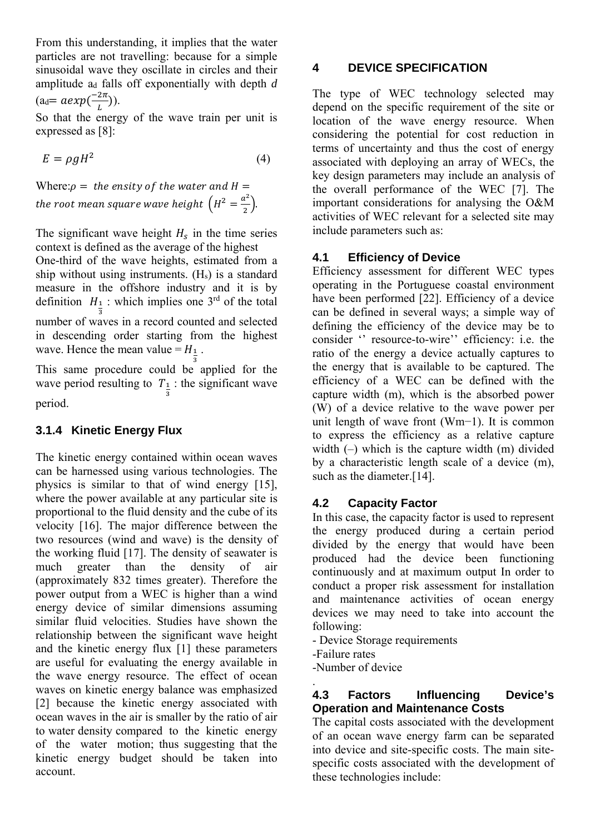From this understanding, it implies that the water particles are not travelling: because for a simple sinusoidal wave they oscillate in circles and their amplitude ad falls off exponentially with depth *d*   $\text{(ad}=a \exp(\frac{-2\pi}{L}\text{)).}$ 

So that the energy of the wave train per unit is expressed as [8]:

$$
E = \rho g H^2 \tag{4}
$$

Where: $\rho =$  the ensity of the water and  $H =$ the root mean square wave height  $\left(H^2 = \frac{a^2}{2}\right)$ .

The significant wave height  $H_s$  in the time series context is defined as the average of the highest One-third of the wave heights, estimated from a ship without using instruments. (Hs) is a standard measure in the offshore industry and it is by definition  $H_1$ : which implies one 3<sup>rd</sup> of the total number of waves in a record counted and selected in descending order starting from the highest wave. Hence the mean value =  $H_{\frac{1}{3}}$ .

This same procedure could be applied for the wave period resulting to  $T_{\frac{1}{3}}$ : the significant wave period.

## **3.1.4 Kinetic Energy Flux**

The kinetic energy contained within ocean waves can be harnessed using various technologies. The physics is similar to that of wind energy [15], where the power available at any particular site is proportional to the fluid density and the cube of its velocity [16]. The major difference between the two resources (wind and wave) is the density of the working fluid [17]. The density of seawater is much greater than the density of air (approximately 832 times greater). Therefore the power output from a WEC is higher than a wind energy device of similar dimensions assuming similar fluid velocities. Studies have shown the relationship between the significant wave height and the kinetic energy flux [1] these parameters are useful for evaluating the energy available in the wave energy resource. The effect of ocean waves on kinetic energy balance was emphasized [2] because the kinetic energy associated with ocean waves in the air is smaller by the ratio of air to water density compared to the kinetic energy of the water motion; thus suggesting that the kinetic energy budget should be taken into account.

# **4 DEVICE SPECIFICATION**

The type of WEC technology selected may depend on the specific requirement of the site or location of the wave energy resource. When considering the potential for cost reduction in terms of uncertainty and thus the cost of energy associated with deploying an array of WECs, the key design parameters may include an analysis of the overall performance of the WEC [7]. The important considerations for analysing the O&M activities of WEC relevant for a selected site may include parameters such as:

## **4.1 Efficiency of Device**

Efficiency assessment for different WEC types operating in the Portuguese coastal environment have been performed [22]. Efficiency of a device can be defined in several ways; a simple way of defining the efficiency of the device may be to consider '' resource-to-wire'' efficiency: i.e. the ratio of the energy a device actually captures to the energy that is available to be captured. The efficiency of a WEC can be defined with the capture width (m), which is the absorbed power (W) of a device relative to the wave power per unit length of wave front (Wm−1). It is common to express the efficiency as a relative capture width (–) which is the capture width (m) divided by a characteristic length scale of a device (m), such as the diameter.<sup>[14]</sup>.

## **4.2 Capacity Factor**

In this case, the capacity factor is used to represent the energy produced during a certain period divided by the energy that would have been produced had the device been functioning continuously and at maximum output In order to conduct a proper risk assessment for installation and maintenance activities of ocean energy devices we may need to take into account the following:

- Device Storage requirements

-Failure rates

-Number of device

#### . **4.3 Factors Influencing Device's Operation and Maintenance Costs**

The capital costs associated with the development of an ocean wave energy farm can be separated into device and site-specific costs. The main sitespecific costs associated with the development of these technologies include: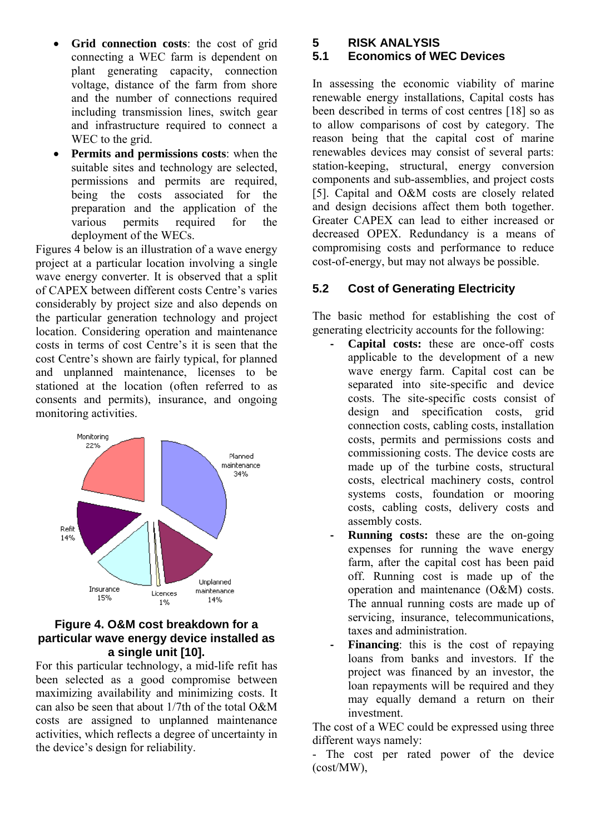- **Grid connection costs**: the cost of grid connecting a WEC farm is dependent on plant generating capacity, connection voltage, distance of the farm from shore and the number of connections required including transmission lines, switch gear and infrastructure required to connect a WEC to the grid.
- **Permits and permissions costs**: when the suitable sites and technology are selected, permissions and permits are required, being the costs associated for the preparation and the application of the various permits required for the deployment of the WECs.

Figures 4 below is an illustration of a wave energy project at a particular location involving a single wave energy converter. It is observed that a split of CAPEX between different costs Centre's varies considerably by project size and also depends on the particular generation technology and project location. Considering operation and maintenance costs in terms of cost Centre's it is seen that the cost Centre's shown are fairly typical, for planned and unplanned maintenance, licenses to be stationed at the location (often referred to as consents and permits), insurance, and ongoing monitoring activities.



#### **Figure 4. O&M cost breakdown for a particular wave energy device installed as a single unit [10].**

For this particular technology, a mid-life refit has been selected as a good compromise between maximizing availability and minimizing costs. It can also be seen that about 1/7th of the total O&M costs are assigned to unplanned maintenance activities, which reflects a degree of uncertainty in the device's design for reliability.

**5 RISK ANALYSIS** 

#### **5.1 Economics of WEC Devices**

In assessing the economic viability of marine renewable energy installations, Capital costs has been described in terms of cost centres [18] so as to allow comparisons of cost by category. The reason being that the capital cost of marine renewables devices may consist of several parts: station-keeping, structural, energy conversion components and sub-assemblies, and project costs [5]. Capital and O&M costs are closely related and design decisions affect them both together. Greater CAPEX can lead to either increased or decreased OPEX. Redundancy is a means of compromising costs and performance to reduce cost-of-energy, but may not always be possible.

## **5.2 Cost of Generating Electricity**

The basic method for establishing the cost of generating electricity accounts for the following:

- **‐ Capital costs:** these are once-off costs applicable to the development of a new wave energy farm. Capital cost can be separated into site-specific and device costs. The site-specific costs consist of design and specification costs, grid connection costs, cabling costs, installation costs, permits and permissions costs and commissioning costs. The device costs are made up of the turbine costs, structural costs, electrical machinery costs, control systems costs, foundation or mooring costs, cabling costs, delivery costs and assembly costs.
- **‐ Running costs:** these are the on-going expenses for running the wave energy farm, after the capital cost has been paid off. Running cost is made up of the operation and maintenance (O&M) costs. The annual running costs are made up of servicing, insurance, telecommunications, taxes and administration.
- **Financing**: this is the cost of repaying loans from banks and investors. If the project was financed by an investor, the loan repayments will be required and they may equally demand a return on their investment.

The cost of a WEC could be expressed using three different ways namely:

- The cost per rated power of the device (cost/MW),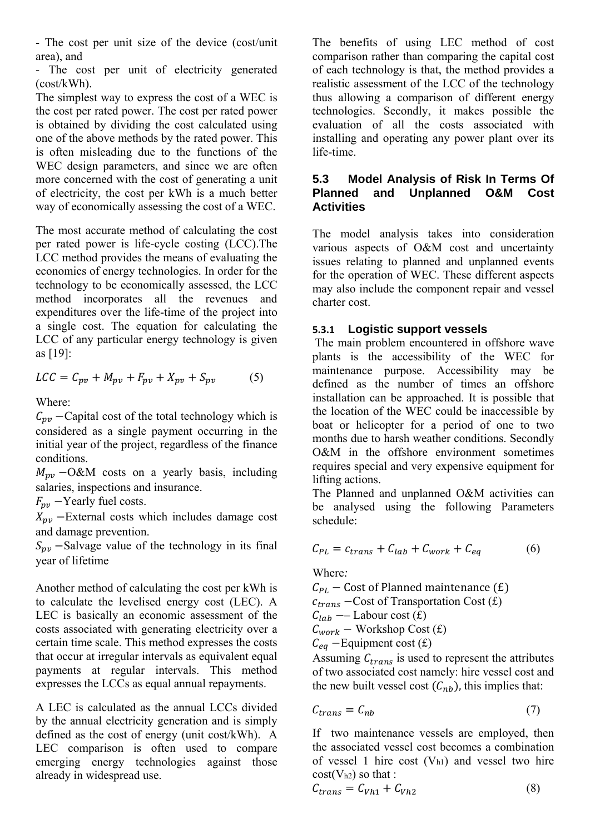- The cost per unit size of the device (cost/unit area), and

- The cost per unit of electricity generated (cost/kWh).

The simplest way to express the cost of a WEC is the cost per rated power. The cost per rated power is obtained by dividing the cost calculated using one of the above methods by the rated power. This is often misleading due to the functions of the WEC design parameters, and since we are often more concerned with the cost of generating a unit of electricity, the cost per kWh is a much better way of economically assessing the cost of a WEC.

The most accurate method of calculating the cost per rated power is life-cycle costing (LCC).The LCC method provides the means of evaluating the economics of energy technologies. In order for the technology to be economically assessed, the LCC method incorporates all the revenues and expenditures over the life-time of the project into a single cost. The equation for calculating the LCC of any particular energy technology is given as [19]:

$$
LCC = C_{pv} + M_{pv} + F_{pv} + X_{pv} + S_{pv}
$$
 (5)

Where:

 $C_{\text{nv}}$  – Capital cost of the total technology which is considered as a single payment occurring in the initial year of the project, regardless of the finance conditions.

 $M_{\text{nv}}$  –O&M costs on a yearly basis, including salaries, inspections and insurance.

 $F_{pv}$  –Yearly fuel costs.

 $X_{pv}$  -External costs which includes damage cost and damage prevention.

 $S_{nv}$  –Salvage value of the technology in its final year of lifetime

Another method of calculating the cost per kWh is to calculate the levelised energy cost (LEC). A LEC is basically an economic assessment of the costs associated with generating electricity over a certain time scale. This method expresses the costs that occur at irregular intervals as equivalent equal payments at regular intervals. This method expresses the LCCs as equal annual repayments.

A LEC is calculated as the annual LCCs divided by the annual electricity generation and is simply defined as the cost of energy (unit cost/kWh). A LEC comparison is often used to compare emerging energy technologies against those already in widespread use.

The benefits of using LEC method of cost comparison rather than comparing the capital cost of each technology is that, the method provides a realistic assessment of the LCC of the technology thus allowing a comparison of different energy technologies. Secondly, it makes possible the evaluation of all the costs associated with installing and operating any power plant over its life-time.

#### **5.3 Model Analysis of Risk In Terms Of Planned and Unplanned O&M Cost Activities**

The model analysis takes into consideration various aspects of O&M cost and uncertainty issues relating to planned and unplanned events for the operation of WEC. These different aspects may also include the component repair and vessel charter cost.

#### **5.3.1 Logistic support vessels**

The main problem encountered in offshore wave plants is the accessibility of the WEC for maintenance purpose. Accessibility may be defined as the number of times an offshore installation can be approached. It is possible that the location of the WEC could be inaccessible by boat or helicopter for a period of one to two months due to harsh weather conditions. Secondly O&M in the offshore environment sometimes requires special and very expensive equipment for lifting actions.

The Planned and unplanned O&M activities can be analysed using the following Parameters schedule:

$$
C_{PL} = c_{trans} + C_{lab} + C_{work} + C_{eq}
$$
 (6)

Where*:* 

 $C_{PL}$  – Cost of Planned maintenance (£)  $c_{trans}$  – Cost of Transportation Cost  $(f)$  $C_{lab}$  — Labour cost (£)  $C_{work}$  – Workshop Cost (£)  $C_{eq}$  – Equipment cost (£)

Assuming  $C_{trans}$  is used to represent the attributes of two associated cost namely: hire vessel cost and the new built vessel cost  $(C<sub>nh</sub>)$ , this implies that:

$$
C_{trans} = C_{nb} \tag{7}
$$

If two maintenance vessels are employed, then the associated vessel cost becomes a combination of vessel 1 hire cost  $(V_{h1})$  and vessel two hire  $cost(V<sub>h2</sub>)$  so that :

$$
C_{trans} = C_{Vh1} + C_{Vh2} \tag{8}
$$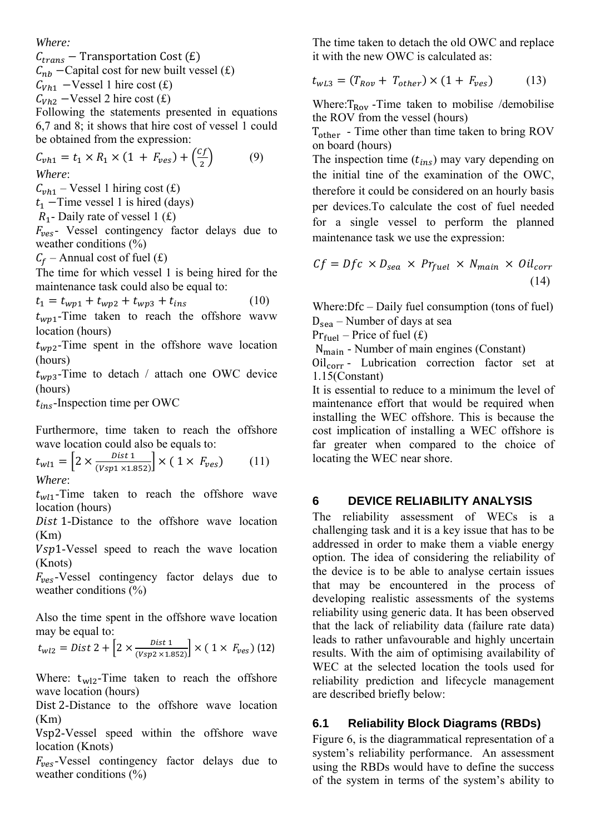*Where:* 

 $C_{trans}$  – Transportation Cost (£)  $C_{nb}$  –Capital cost for new built vessel (£)  $C_{Vh1}$  –Vessel 1 hire cost (£)

 $C_{Vh2}$  –Vessel 2 hire cost (£)

Following the statements presented in equations 6,7 and 8; it shows that hire cost of vessel 1 could be obtained from the expression:

$$
C_{vh1} = t_1 \times R_1 \times (1 + F_{ves}) + \left(\frac{cf}{2}\right) \tag{9}
$$
  
Where:

*Where*:

 $C_{vh1}$  – Vessel 1 hiring cost (£)

 $t_1$  – Time vessel 1 is hired (days)

 $R_1$ - Daily rate of vessel 1 (£)

 $F_{\text{res}}$ - Vessel contingency factor delays due to weather conditions (%)

 $C_f$  – Annual cost of fuel (£)

The time for which vessel 1 is being hired for the maintenance task could also be equal to:

$$
t_1 = t_{wp1} + t_{wp2} + t_{wp3} + t_{ins}
$$
 (10)

 $t_{wp1}$ -Time taken to reach the offshore wavw location (hours)

 $t_{wp2}$ -Time spent in the offshore wave location (hours)

 $t_{wp3}$ -Time to detach / attach one OWC device (hours)

 $t_{ins}$ -Inspection time per OWC

Furthermore, time taken to reach the offshore wave location could also be equals to:

$$
t_{w11} = \left[2 \times \frac{Dist \, 1}{(Vsp1 \times 1.852)}\right] \times (1 \times F_{ves}) \tag{11}
$$
  
Where:

 $t_{w1}$ -Time taken to reach the offshore wave location (hours)

Dist 1-Distance to the offshore wave location (Km)

Vsp1-Vessel speed to reach the wave location (Knots)

 $F_{\text{ves}}$ -Vessel contingency factor delays due to weather conditions  $(\% )$ 

Also the time spent in the offshore wave location may be equal to:

$$
t_{w12} = Dist \ 2 + \left[2 \times \frac{Dist \ 1}{(Vsp2 \times 1.852)}\right] \times (1 \times F_{ves}) \ (12)
$$

Where:  $t_{w12}$ -Time taken to reach the offshore wave location (hours)

Dist 2-Distance to the offshore wave location (Km)

Vsp2-Vessel speed within the offshore wave location (Knots)

 $F_{ves}$ -Vessel contingency factor delays due to weather conditions  $(\% )$ 

The time taken to detach the old OWC and replace it with the new OWC is calculated as:

 $t_{wL3} = (T_{Row} + T_{other}) \times (1 + F_{res})$  (13)

Where: $T_{\text{Row}}$  -Time taken to mobilise /demobilise the ROV from the vessel (hours)

 $T_{other}$  - Time other than time taken to bring ROV on board (hours)

The inspection time  $(t_{ins})$  may vary depending on the initial tine of the examination of the OWC, therefore it could be considered on an hourly basis per devices.To calculate the cost of fuel needed for a single vessel to perform the planned maintenance task we use the expression:

$$
Cf = Dfc \times D_{sea} \times Pr_{fuel} \times N_{main} \times Oil_{corr}
$$
\n(14)

Where:Dfc – Daily fuel consumption (tons of fuel)  $D_{\text{sea}}$  – Number of days at sea

 $Pr_{\text{fuel}}$  – Price of fuel (£)

 $N_{\text{main}}$  - Number of main engines (Constant)

 $Oil_{corr}$  - Lubrication correction factor set at 1.15(Constant)

It is essential to reduce to a minimum the level of maintenance effort that would be required when installing the WEC offshore. This is because the cost implication of installing a WEC offshore is far greater when compared to the choice of locating the WEC near shore.

#### **6 DEVICE RELIABILITY ANALYSIS**

The reliability assessment of WECs is a challenging task and it is a key issue that has to be addressed in order to make them a viable energy option. The idea of considering the reliability of the device is to be able to analyse certain issues that may be encountered in the process of developing realistic assessments of the systems reliability using generic data. It has been observed that the lack of reliability data (failure rate data) leads to rather unfavourable and highly uncertain results. With the aim of optimising availability of WEC at the selected location the tools used for reliability prediction and lifecycle management are described briefly below:

## **6.1 Reliability Block Diagrams (RBDs)**

Figure 6, is the diagrammatical representation of a system's reliability performance. An assessment using the RBDs would have to define the success of the system in terms of the system's ability to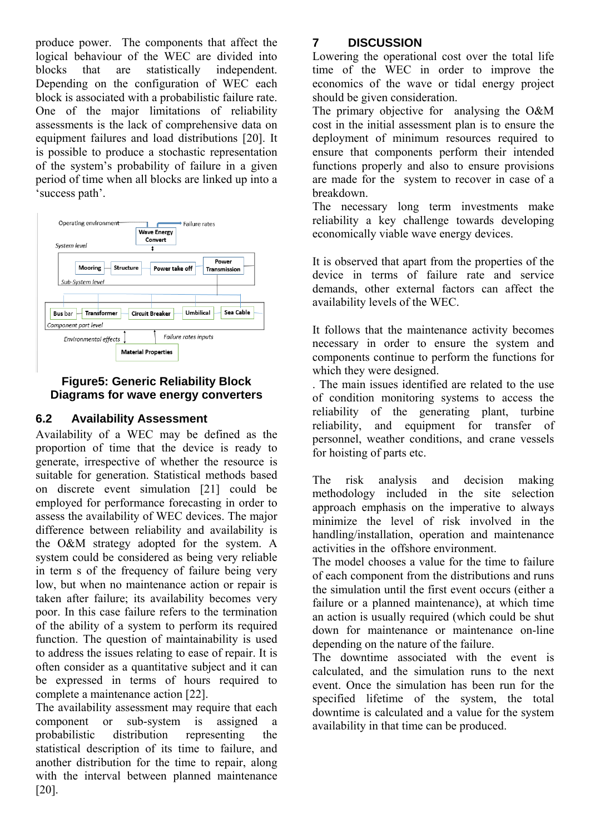produce power. The components that affect the logical behaviour of the WEC are divided into blocks that are statistically independent. Depending on the configuration of WEC each block is associated with a probabilistic failure rate. One of the major limitations of reliability assessments is the lack of comprehensive data on equipment failures and load distributions [20]. It is possible to produce a stochastic representation of the system's probability of failure in a given period of time when all blocks are linked up into a 'success path'.



#### **Figure5: Generic Reliability Block Diagrams for wave energy converters**

# **6.2 Availability Assessment**

Availability of a WEC may be defined as the proportion of time that the device is ready to generate, irrespective of whether the resource is suitable for generation. Statistical methods based on discrete event simulation [21] could be employed for performance forecasting in order to assess the availability of WEC devices. The major difference between reliability and availability is the O&M strategy adopted for the system. A system could be considered as being very reliable in term s of the frequency of failure being very low, but when no maintenance action or repair is taken after failure; its availability becomes very poor. In this case failure refers to the termination of the ability of a system to perform its required function. The question of maintainability is used to address the issues relating to ease of repair. It is often consider as a quantitative subject and it can be expressed in terms of hours required to complete a maintenance action [22].

The availability assessment may require that each component or sub-system is assigned a probabilistic distribution representing the statistical description of its time to failure, and another distribution for the time to repair, along with the interval between planned maintenance [20].

# **7 DISCUSSION**

Lowering the operational cost over the total life time of the WEC in order to improve the economics of the wave or tidal energy project should be given consideration.

The primary objective for analysing the O&M cost in the initial assessment plan is to ensure the deployment of minimum resources required to ensure that components perform their intended functions properly and also to ensure provisions are made for the system to recover in case of a breakdown.

The necessary long term investments make reliability a key challenge towards developing economically viable wave energy devices.

It is observed that apart from the properties of the device in terms of failure rate and service demands, other external factors can affect the availability levels of the WEC.

It follows that the maintenance activity becomes necessary in order to ensure the system and components continue to perform the functions for which they were designed.

. The main issues identified are related to the use of condition monitoring systems to access the reliability of the generating plant, turbine reliability, and equipment for transfer of personnel, weather conditions, and crane vessels for hoisting of parts etc.

The risk analysis and decision making methodology included in the site selection approach emphasis on the imperative to always minimize the level of risk involved in the handling/installation, operation and maintenance activities in the offshore environment.

The model chooses a value for the time to failure of each component from the distributions and runs the simulation until the first event occurs (either a failure or a planned maintenance), at which time an action is usually required (which could be shut down for maintenance or maintenance on-line depending on the nature of the failure.

The downtime associated with the event is calculated, and the simulation runs to the next event. Once the simulation has been run for the specified lifetime of the system, the total downtime is calculated and a value for the system availability in that time can be produced.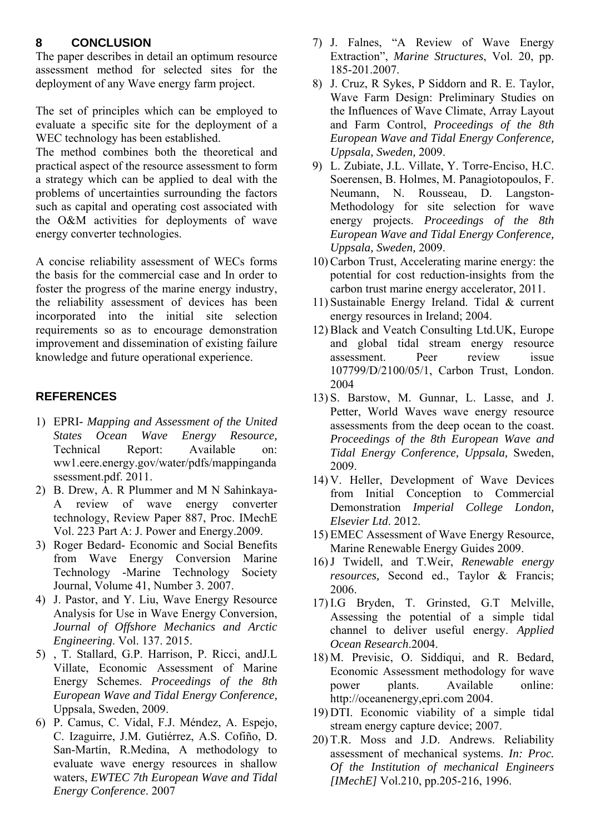#### **8 CONCLUSION**

The paper describes in detail an optimum resource assessment method for selected sites for the deployment of any Wave energy farm project.

The set of principles which can be employed to evaluate a specific site for the deployment of a WEC technology has been established.

The method combines both the theoretical and practical aspect of the resource assessment to form a strategy which can be applied to deal with the problems of uncertainties surrounding the factors such as capital and operating cost associated with the O&M activities for deployments of wave energy converter technologies.

A concise reliability assessment of WECs forms the basis for the commercial case and In order to foster the progress of the marine energy industry, the reliability assessment of devices has been incorporated into the initial site selection requirements so as to encourage demonstration improvement and dissemination of existing failure knowledge and future operational experience.

## **REFERENCES**

- 1) EPRI *Mapping and Assessment of the United States Ocean Wave Energy Resource,*  Technical Report: Available on: ww1.eere.energy.gov/water/pdfs/mappinganda ssessment.pdf. 2011.
- 2) B. Drew, A. R Plummer and M N Sahinkaya-A review of wave energy converter technology, Review Paper 887, Proc. IMechE Vol. 223 Part A: J. Power and Energy.2009.
- 3) Roger Bedard- Economic and Social Benefits from Wave Energy Conversion Marine Technology -Marine Technology Society Journal, Volume 41, Number 3. 2007.
- 4) J. Pastor, and Y. Liu, Wave Energy Resource Analysis for Use in Wave Energy Conversion, *Journal of Offshore Mechanics and Arctic Engineering*. Vol. 137. 2015.
- 5) , T. Stallard, G.P. Harrison, P. Ricci, andJ.L Villate, Economic Assessment of Marine Energy Schemes. *Proceedings of the 8th European Wave and Tidal Energy Conference,* Uppsala, Sweden, 2009.
- 6) P. Camus, C. Vidal, F.J. Méndez, A. Espejo, C. Izaguirre, J.M. Gutiérrez, A.S. Cofiño, D. San-Martín, R.Medina, A methodology to evaluate wave energy resources in shallow waters, *EWTEC 7th European Wave and Tidal Energy Conference*. 2007
- 7) J. Falnes, "A Review of Wave Energy Extraction", *Marine Structures*, Vol. 20, pp. 185-201.2007.
- 8) J. Cruz, R Sykes, P Siddorn and R. E. Taylor, Wave Farm Design: Preliminary Studies on the Influences of Wave Climate, Array Layout and Farm Control, *Proceedings of the 8th European Wave and Tidal Energy Conference, Uppsala, Sweden,* 2009.
- 9) L. Zubiate, J.L. Villate, Y. Torre-Enciso, H.C. Soerensen, B. Holmes, M. Panagiotopoulos, F. Neumann, N. Rousseau, D. Langston-Methodology for site selection for wave energy projects. *Proceedings of the 8th European Wave and Tidal Energy Conference, Uppsala, Sweden,* 2009.
- 10) Carbon Trust, Accelerating marine energy: the potential for cost reduction-insights from the carbon trust marine energy accelerator, 2011.
- 11) Sustainable Energy Ireland. Tidal & current energy resources in Ireland; 2004.
- 12) Black and Veatch Consulting Ltd.UK, Europe and global tidal stream energy resource assessment. Peer review issue 107799/D/2100/05/1, Carbon Trust, London. 2004
- 13) S. Barstow, M. Gunnar, L. Lasse, and J. Petter, World Waves wave energy resource assessments from the deep ocean to the coast. *Proceedings of the 8th European Wave and Tidal Energy Conference, Uppsala,* Sweden, 2009.
- 14) V. Heller, Development of Wave Devices from Initial Conception to Commercial Demonstration *Imperial College London, Elsevier Ltd*. 2012.
- 15) EMEC Assessment of Wave Energy Resource, Marine Renewable Energy Guides 2009.
- 16)J Twidell, and T.Weir, *Renewable energy resources,* Second ed., Taylor & Francis; 2006.
- 17) I.G Bryden, T. Grinsted, G.T Melville, Assessing the potential of a simple tidal channel to deliver useful energy. *Applied Ocean Research*.2004.
- 18) M. Previsic, O. Siddiqui, and R. Bedard, Economic Assessment methodology for wave power plants. Available online: http://oceanenergy,epri.com 2004.
- 19) DTI. Economic viability of a simple tidal stream energy capture device; 2007.
- 20) T.R. Moss and J.D. Andrews. Reliability assessment of mechanical systems. *In: Proc. Of the Institution of mechanical Engineers [IMechE]* Vol.210, pp.205-216, 1996.